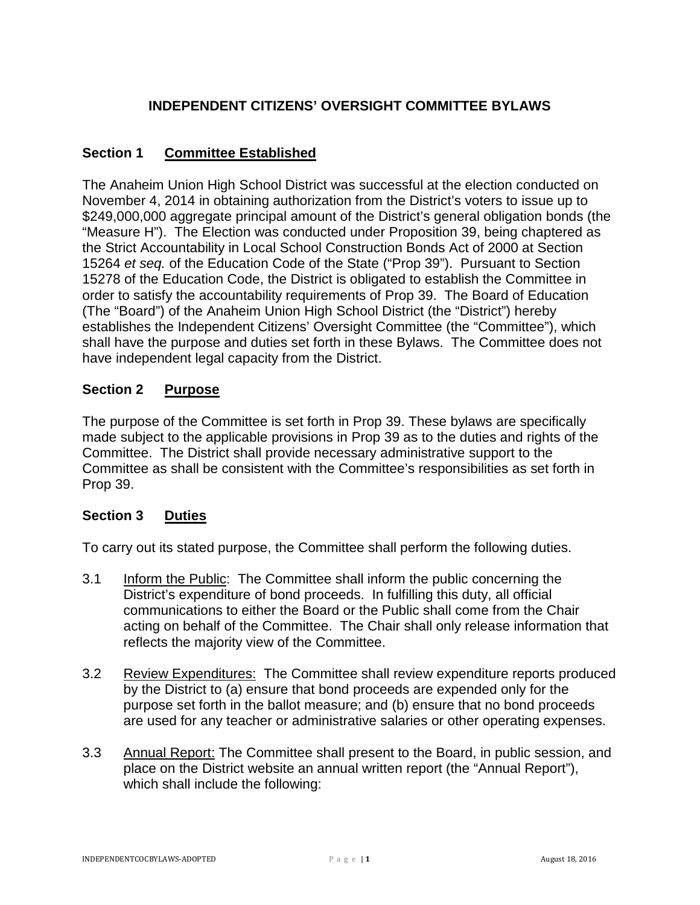# **INDEPENDENT CITIZENS' OVERSIGHT COMMITTEE BYLAWS**

# **Section 1 Committee Established**

The Anaheim Union High School District was successful at the election conducted on November 4, 2014 in obtaining authorization from the District's voters to issue up to \$249,000,000 aggregate principal amount of the District's general obligation bonds (the "Measure H"). The Election was conducted under Proposition 39, being chaptered as the Strict Accountability in Local School Construction Bonds Act of 2000 at Section 15264 *et seq.* of the Education Code of the State ("Prop 39"). Pursuant to Section 15278 of the Education Code, the District is obligated to establish the Committee in order to satisfy the accountability requirements of Prop 39. The Board of Education (The "Board") of the Anaheim Union High School District (the "District") hereby establishes the Independent Citizens' Oversight Committee (the "Committee"), which shall have the purpose and duties set forth in these Bylaws. The Committee does not have independent legal capacity from the District.

# **Section 2 Purpose**

The purpose of the Committee is set forth in Prop 39. These bylaws are specifically made subject to the applicable provisions in Prop 39 as to the duties and rights of the Committee. The District shall provide necessary administrative support to the Committee as shall be consistent with the Committee's responsibilities as set forth in Prop 39.

### **Section 3 Duties**

To carry out its stated purpose, the Committee shall perform the following duties.

- 3.1 Inform the Public: The Committee shall inform the public concerning the District's expenditure of bond proceeds. In fulfilling this duty, all official communications to either the Board or the Public shall come from the Chair acting on behalf of the Committee. The Chair shall only release information that reflects the majority view of the Committee.
- 3.2 Review Expenditures: The Committee shall review expenditure reports produced by the District to (a) ensure that bond proceeds are expended only for the purpose set forth in the ballot measure; and (b) ensure that no bond proceeds are used for any teacher or administrative salaries or other operating expenses.
- 3.3 Annual Report: The Committee shall present to the Board, in public session, and place on the District website an annual written report (the "Annual Report"), which shall include the following: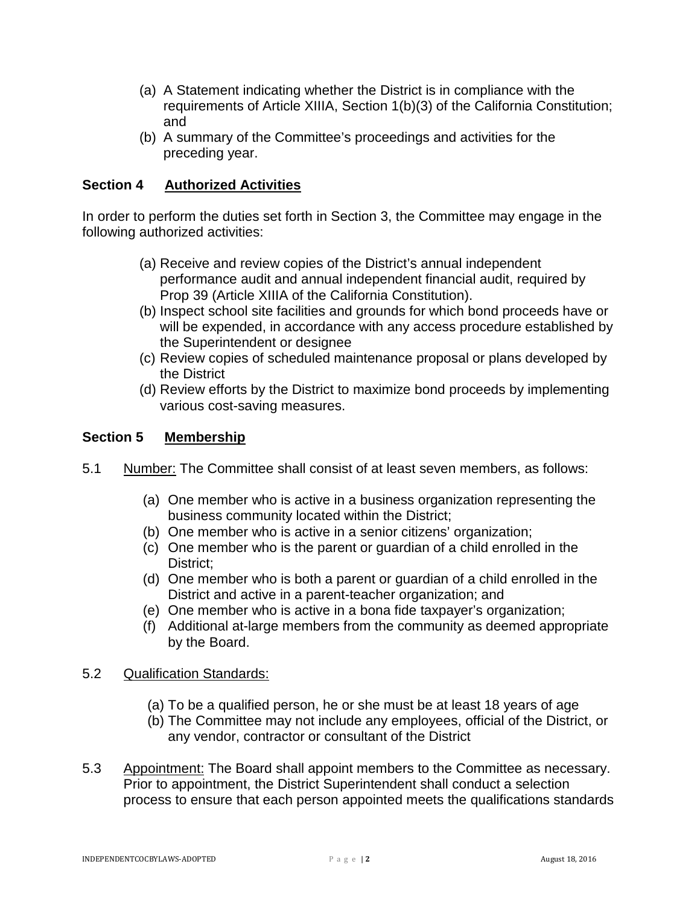- (a) A Statement indicating whether the District is in compliance with the requirements of Article XIIIA, Section 1(b)(3) of the California Constitution; and
- (b) A summary of the Committee's proceedings and activities for the preceding year.

### **Section 4 Authorized Activities**

In order to perform the duties set forth in Section 3, the Committee may engage in the following authorized activities:

- (a) Receive and review copies of the District's annual independent performance audit and annual independent financial audit, required by Prop 39 (Article XIIIA of the California Constitution).
- (b) Inspect school site facilities and grounds for which bond proceeds have or will be expended, in accordance with any access procedure established by the Superintendent or designee
- (c) Review copies of scheduled maintenance proposal or plans developed by the District
- (d) Review efforts by the District to maximize bond proceeds by implementing various cost-saving measures.

### **Section 5 Membership**

- 5.1 Number: The Committee shall consist of at least seven members, as follows:
	- (a) One member who is active in a business organization representing the business community located within the District;
	- (b) One member who is active in a senior citizens' organization;
	- (c) One member who is the parent or guardian of a child enrolled in the District;
	- (d) One member who is both a parent or guardian of a child enrolled in the District and active in a parent-teacher organization; and
	- (e) One member who is active in a bona fide taxpayer's organization;
	- (f) Additional at-large members from the community as deemed appropriate by the Board.

#### 5.2 Qualification Standards:

- (a) To be a qualified person, he or she must be at least 18 years of age
- (b) The Committee may not include any employees, official of the District, or any vendor, contractor or consultant of the District
- 5.3 Appointment: The Board shall appoint members to the Committee as necessary. Prior to appointment, the District Superintendent shall conduct a selection process to ensure that each person appointed meets the qualifications standards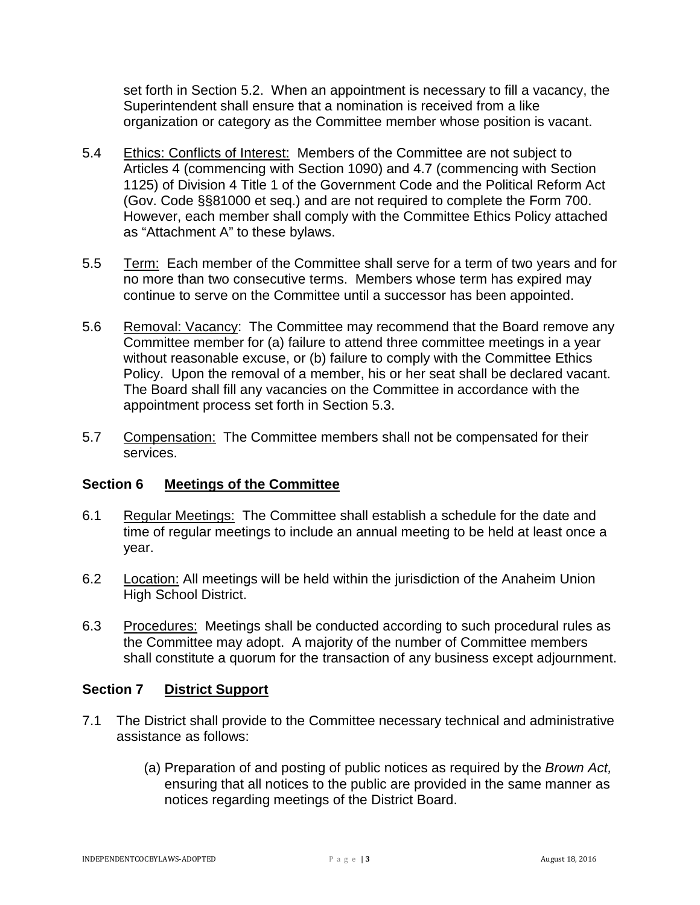set forth in Section 5.2. When an appointment is necessary to fill a vacancy, the Superintendent shall ensure that a nomination is received from a like organization or category as the Committee member whose position is vacant.

- 5.4 Ethics: Conflicts of Interest: Members of the Committee are not subject to Articles 4 (commencing with Section 1090) and 4.7 (commencing with Section 1125) of Division 4 Title 1 of the Government Code and the Political Reform Act (Gov. Code §§81000 et seq.) and are not required to complete the Form 700. However, each member shall comply with the Committee Ethics Policy attached as "Attachment A" to these bylaws.
- 5.5 Term: Each member of the Committee shall serve for a term of two years and for no more than two consecutive terms. Members whose term has expired may continue to serve on the Committee until a successor has been appointed.
- 5.6 Removal: Vacancy: The Committee may recommend that the Board remove any Committee member for (a) failure to attend three committee meetings in a year without reasonable excuse, or (b) failure to comply with the Committee Ethics Policy. Upon the removal of a member, his or her seat shall be declared vacant. The Board shall fill any vacancies on the Committee in accordance with the appointment process set forth in Section 5.3.
- 5.7 Compensation: The Committee members shall not be compensated for their services.

### **Section 6 Meetings of the Committee**

- 6.1 Regular Meetings: The Committee shall establish a schedule for the date and time of regular meetings to include an annual meeting to be held at least once a year.
- 6.2 Location: All meetings will be held within the jurisdiction of the Anaheim Union High School District.
- 6.3 Procedures: Meetings shall be conducted according to such procedural rules as the Committee may adopt. A majority of the number of Committee members shall constitute a quorum for the transaction of any business except adjournment.

### **Section 7 District Support**

- 7.1 The District shall provide to the Committee necessary technical and administrative assistance as follows:
	- (a) Preparation of and posting of public notices as required by the *Brown Act,*  ensuring that all notices to the public are provided in the same manner as notices regarding meetings of the District Board.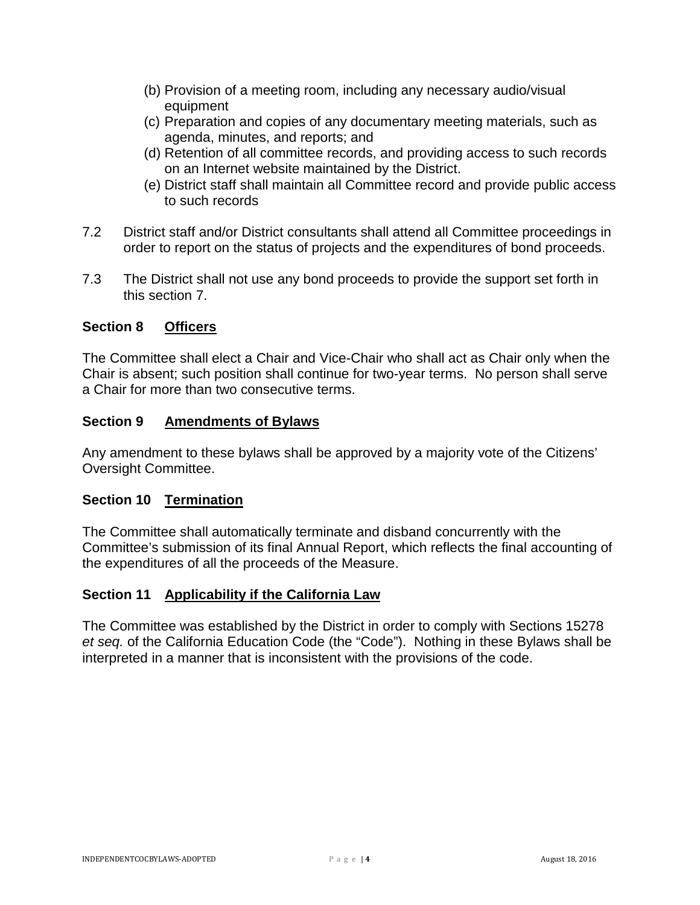- (b) Provision of a meeting room, including any necessary audio/visual equipment
- (c) Preparation and copies of any documentary meeting materials, such as agenda, minutes, and reports; and
- (d) Retention of all committee records, and providing access to such records on an Internet website maintained by the District.
- (e) District staff shall maintain all Committee record and provide public access to such records
- 7.2 District staff and/or District consultants shall attend all Committee proceedings in order to report on the status of projects and the expenditures of bond proceeds.
- 7.3 The District shall not use any bond proceeds to provide the support set forth in this section 7.

# **Section 8 Officers**

The Committee shall elect a Chair and Vice-Chair who shall act as Chair only when the Chair is absent; such position shall continue for two-year terms. No person shall serve a Chair for more than two consecutive terms.

### **Section 9 Amendments of Bylaws**

Any amendment to these bylaws shall be approved by a majority vote of the Citizens' Oversight Committee.

### **Section 10 Termination**

The Committee shall automatically terminate and disband concurrently with the Committee's submission of its final Annual Report, which reflects the final accounting of the expenditures of all the proceeds of the Measure.

#### **Section 11 Applicability if the California Law**

The Committee was established by the District in order to comply with Sections 15278 *et seq.* of the California Education Code (the "Code"). Nothing in these Bylaws shall be interpreted in a manner that is inconsistent with the provisions of the code.